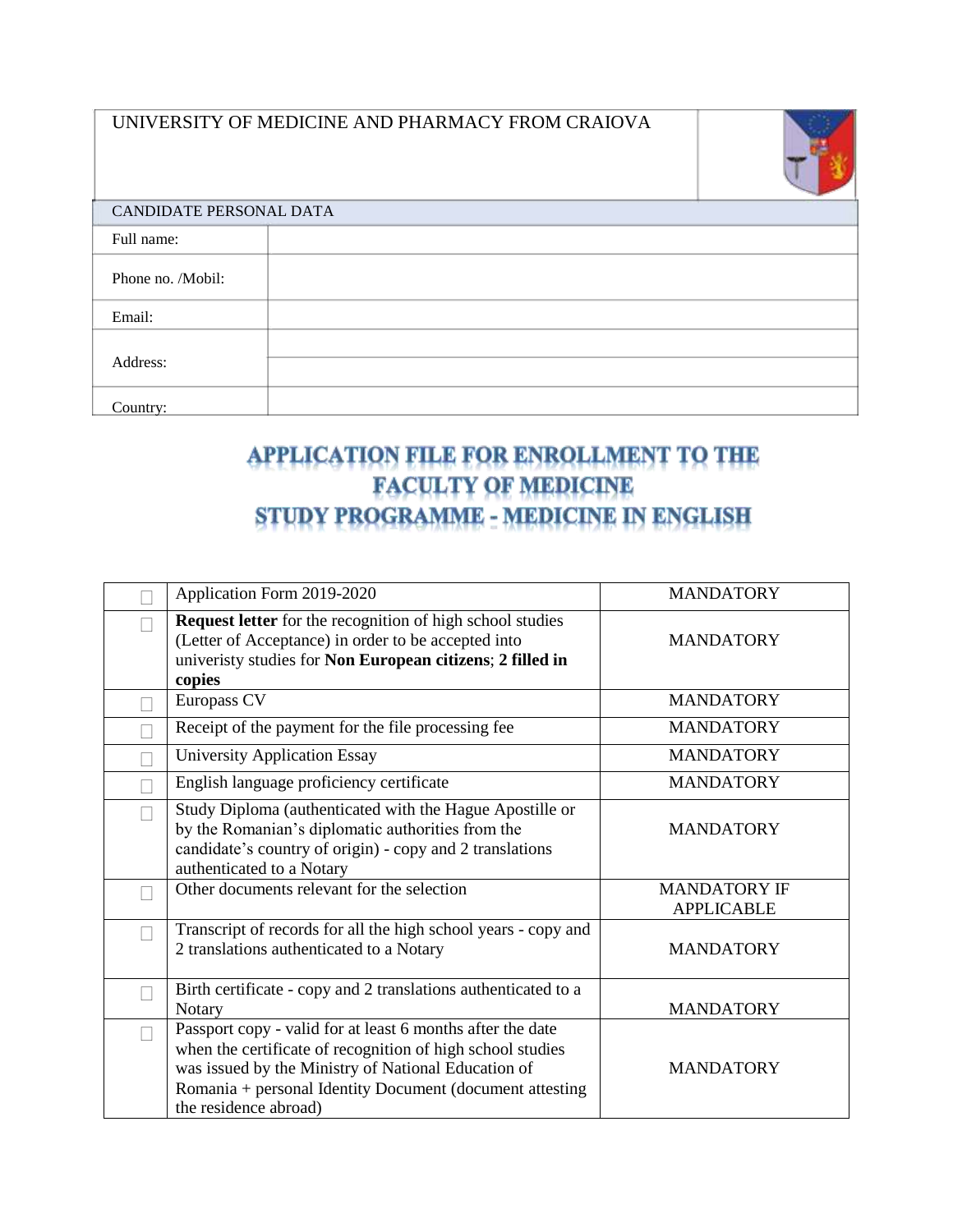

| CANDIDATE PERSONAL DATA |  |  |  |
|-------------------------|--|--|--|
|                         |  |  |  |
|                         |  |  |  |
|                         |  |  |  |
|                         |  |  |  |
|                         |  |  |  |
|                         |  |  |  |

## APPLICATION FILE FOR ENROLLMENT TO THE **FACULTY OF MEDICINE** STUDY PROGRAMME - MEDICINE IN ENGLISH

| Application Form 2019-2020                                                                                                                                                                                                                                           | <b>MANDATORY</b>                         |
|----------------------------------------------------------------------------------------------------------------------------------------------------------------------------------------------------------------------------------------------------------------------|------------------------------------------|
| Request letter for the recognition of high school studies<br>(Letter of Acceptance) in order to be accepted into<br>univeristy studies for Non European citizens; 2 filled in<br>copies                                                                              | <b>MANDATORY</b>                         |
| Europass CV                                                                                                                                                                                                                                                          | <b>MANDATORY</b>                         |
| Receipt of the payment for the file processing fee                                                                                                                                                                                                                   | <b>MANDATORY</b>                         |
| <b>University Application Essay</b>                                                                                                                                                                                                                                  | <b>MANDATORY</b>                         |
| English language proficiency certificate                                                                                                                                                                                                                             | <b>MANDATORY</b>                         |
| Study Diploma (authenticated with the Hague Apostille or<br>by the Romanian's diplomatic authorities from the<br>candidate's country of origin) - copy and 2 translations<br>authenticated to a Notary                                                               | <b>MANDATORY</b>                         |
| Other documents relevant for the selection                                                                                                                                                                                                                           | <b>MANDATORY IF</b><br><b>APPLICABLE</b> |
| Transcript of records for all the high school years - copy and<br>2 translations authenticated to a Notary                                                                                                                                                           | <b>MANDATORY</b>                         |
| Birth certificate - copy and 2 translations authenticated to a<br>Notary                                                                                                                                                                                             | <b>MANDATORY</b>                         |
| Passport copy - valid for at least 6 months after the date<br>when the certificate of recognition of high school studies<br>was issued by the Ministry of National Education of<br>Romania + personal Identity Document (document attesting<br>the residence abroad) | <b>MANDATORY</b>                         |